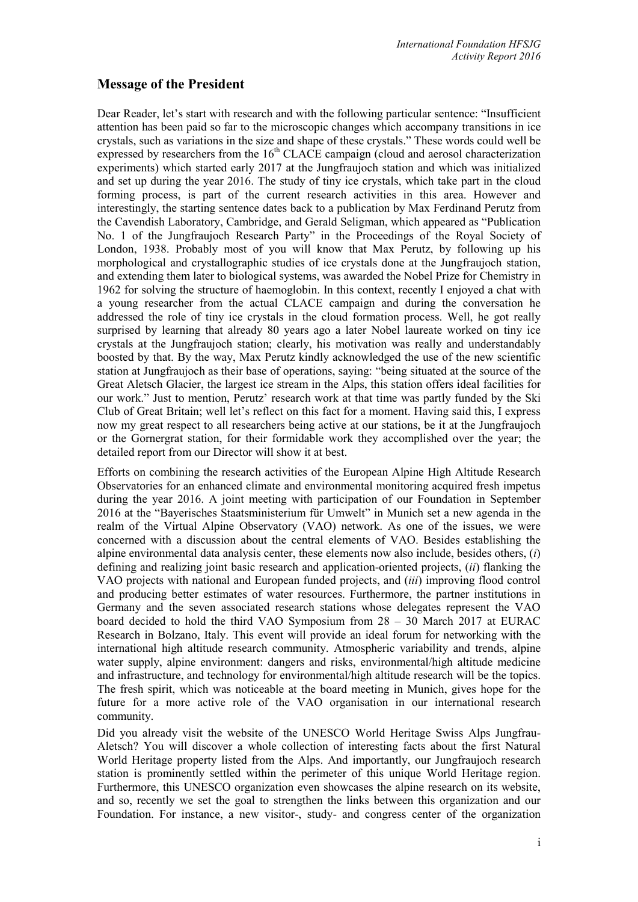## **Message of the President**

Dear Reader, let's start with research and with the following particular sentence: "Insufficient attention has been paid so far to the microscopic changes which accompany transitions in ice crystals, such as variations in the size and shape of these crystals." These words could well be expressed by researchers from the  $16<sup>th</sup> CLACE$  campaign (cloud and aerosol characterization experiments) which started early 2017 at the Jungfraujoch station and which was initialized and set up during the year 2016. The study of tiny ice crystals, which take part in the cloud forming process, is part of the current research activities in this area. However and interestingly, the starting sentence dates back to a publication by Max Ferdinand Perutz from the Cavendish Laboratory, Cambridge, and Gerald Seligman, which appeared as "Publication No. 1 of the Jungfraujoch Research Party" in the Proceedings of the Royal Society of London, 1938. Probably most of you will know that Max Perutz, by following up his morphological and crystallographic studies of ice crystals done at the Jungfraujoch station, and extending them later to biological systems, was awarded the Nobel Prize for Chemistry in 1962 for solving the structure of haemoglobin. In this context, recently I enjoyed a chat with a young researcher from the actual CLACE campaign and during the conversation he addressed the role of tiny ice crystals in the cloud formation process. Well, he got really surprised by learning that already 80 years ago a later Nobel laureate worked on tiny ice crystals at the Jungfraujoch station; clearly, his motivation was really and understandably boosted by that. By the way, Max Perutz kindly acknowledged the use of the new scientific station at Jungfraujoch as their base of operations, saying: "being situated at the source of the Great Aletsch Glacier, the largest ice stream in the Alps, this station offers ideal facilities for our work." Just to mention, Perutz' research work at that time was partly funded by the Ski Club of Great Britain; well let's reflect on this fact for a moment. Having said this, I express now my great respect to all researchers being active at our stations, be it at the Jungfraujoch or the Gornergrat station, for their formidable work they accomplished over the year; the detailed report from our Director will show it at best.

Efforts on combining the research activities of the European Alpine High Altitude Research Observatories for an enhanced climate and environmental monitoring acquired fresh impetus during the year 2016. A joint meeting with participation of our Foundation in September 2016 at the "Bayerisches Staatsministerium für Umwelt" in Munich set a new agenda in the realm of the Virtual Alpine Observatory (VAO) network. As one of the issues, we were concerned with a discussion about the central elements of VAO. Besides establishing the alpine environmental data analysis center, these elements now also include, besides others, (*i*) defining and realizing joint basic research and application-oriented projects, (*ii*) flanking the VAO projects with national and European funded projects, and (*iii*) improving flood control and producing better estimates of water resources. Furthermore, the partner institutions in Germany and the seven associated research stations whose delegates represent the VAO board decided to hold the third VAO Symposium from 28 – 30 March 2017 at EURAC Research in Bolzano, Italy. This event will provide an ideal forum for networking with the international high altitude research community. Atmospheric variability and trends, alpine water supply, alpine environment: dangers and risks, environmental/high altitude medicine and infrastructure, and technology for environmental/high altitude research will be the topics. The fresh spirit, which was noticeable at the board meeting in Munich, gives hope for the future for a more active role of the VAO organisation in our international research community.

Did you already visit the website of the UNESCO World Heritage Swiss Alps Jungfrau-Aletsch? You will discover a whole collection of interesting facts about the first Natural World Heritage property listed from the Alps. And importantly, our Jungfraujoch research station is prominently settled within the perimeter of this unique World Heritage region. Furthermore, this UNESCO organization even showcases the alpine research on its website, and so, recently we set the goal to strengthen the links between this organization and our Foundation. For instance, a new visitor-, study- and congress center of the organization